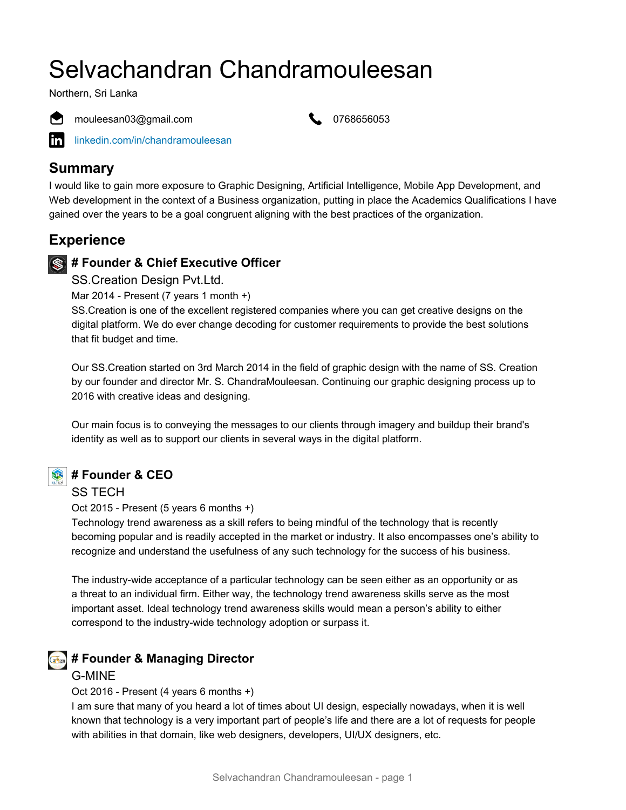# Selvachandran Chandramouleesan

Northern, Sri Lanka



mouleesan03@gmail.com **1996** 0768656053



[linkedin.com/in/chandramouleesan](https://www.linkedin.com/in/chandramouleesan)

#### **Summary**

I would like to gain more exposure to Graphic Designing, Artificial Intelligence, Mobile App Development, and Web development in the context of a Business organization, putting in place the Academics Qualifications I have gained over the years to be a goal congruent aligning with the best practices of the organization.

### **Experience**

#### **# Founder & Chief Executive Officer**

SS.Creation Design Pvt.Ltd.

Mar 2014 - Present (7 years 1 month +)

SS.Creation is one of the excellent registered companies where you can get creative designs on the digital platform. We do ever change decoding for customer requirements to provide the best solutions that fit budget and time.

Our SS.Creation started on 3rd March 2014 in the field of graphic design with the name of SS. Creation by our founder and director Mr. S. ChandraMouleesan. Continuing our graphic designing process up to 2016 with creative ideas and designing.

Our main focus is to conveying the messages to our clients through imagery and buildup their brand's identity as well as to support our clients in several ways in the digital platform.



#### **# Founder & CEO**

SS TECH

Oct 2015 - Present (5 years 6 months +)

Technology trend awareness as a skill refers to being mindful of the technology that is recently becoming popular and is readily accepted in the market or industry. It also encompasses one's ability to recognize and understand the usefulness of any such technology for the success of his business.

The industry-wide acceptance of a particular technology can be seen either as an opportunity or as a threat to an individual firm. Either way, the technology trend awareness skills serve as the most important asset. Ideal technology trend awareness skills would mean a person's ability to either correspond to the industry-wide technology adoption or surpass it.

### *<b>F* # Founder & Managing Director

#### G-MINE

Oct 2016 - Present (4 years 6 months +)

I am sure that many of you heard a lot of times about UI design, especially nowadays, when it is well known that technology is a very important part of people's life and there are a lot of requests for people with abilities in that domain, like web designers, developers, UI/UX designers, etc.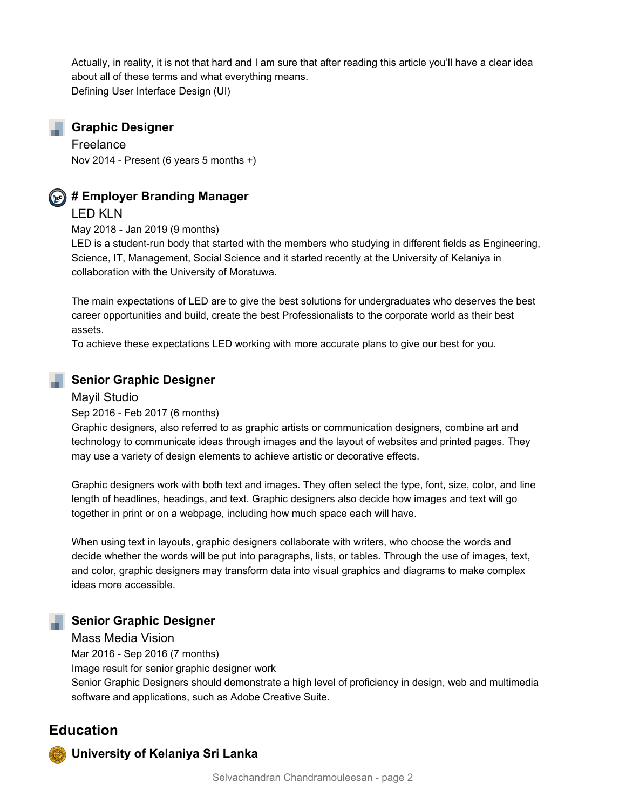Actually, in reality, it is not that hard and I am sure that after reading this article you'll have a clear idea about all of these terms and what everything means. Defining User Interface Design (UI)

#### **Graphic Designer**

Freelance Nov 2014 - Present (6 years 5 months +)



#### **# Employer Branding Manager**

LED KLN

May 2018 - Jan 2019 (9 months)

LED is a student-run body that started with the members who studying in different fields as Engineering, Science, IT, Management, Social Science and it started recently at the University of Kelaniya in collaboration with the University of Moratuwa.

The main expectations of LED are to give the best solutions for undergraduates who deserves the best career opportunities and build, create the best Professionalists to the corporate world as their best assets.

To achieve these expectations LED working with more accurate plans to give our best for you.

#### **Senior Graphic Designer**

#### Mayil Studio

Sep 2016 - Feb 2017 (6 months)

Graphic designers, also referred to as graphic artists or communication designers, combine art and technology to communicate ideas through images and the layout of websites and printed pages. They may use a variety of design elements to achieve artistic or decorative effects.

Graphic designers work with both text and images. They often select the type, font, size, color, and line length of headlines, headings, and text. Graphic designers also decide how images and text will go together in print or on a webpage, including how much space each will have.

When using text in layouts, graphic designers collaborate with writers, who choose the words and decide whether the words will be put into paragraphs, lists, or tables. Through the use of images, text, and color, graphic designers may transform data into visual graphics and diagrams to make complex ideas more accessible.

#### **Senior Graphic Designer**

Mass Media Vision

Mar 2016 - Sep 2016 (7 months)

Image result for senior graphic designer work

Senior Graphic Designers should demonstrate a high level of proficiency in design, web and multimedia software and applications, such as Adobe Creative Suite.

#### **Education**

**University of Kelaniya Sri Lanka**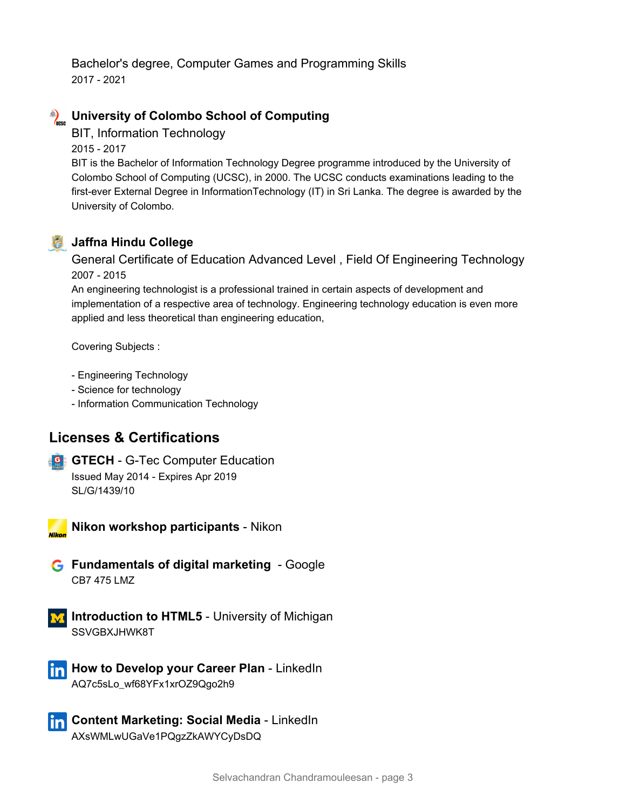Bachelor's degree, Computer Games and Programming Skills 2017 - 2021

# **Example 2 University of Colombo School of Computing**

BIT, Information Technology

2015 - 2017

BIT is the Bachelor of Information Technology Degree programme introduced by the University of Colombo School of Computing (UCSC), in 2000. The UCSC conducts examinations leading to the first-ever External Degree in InformationTechnology (IT) in Sri Lanka. The degree is awarded by the University of Colombo.



#### **Jaffna Hindu College**

General Certificate of Education Advanced Level , Field Of Engineering Technology 2007 - 2015

An engineering technologist is a professional trained in certain aspects of development and implementation of a respective area of technology. Engineering technology education is even more applied and less theoretical than engineering education,

Covering Subjects :

- Engineering Technology
- Science for technology
- Information Communication Technology

### **Licenses & Certifications**

**G GTECH** - G-Tec Computer Education Issued May 2014 - Expires Apr 2019 SL/G/1439/10



**Nikon workshop participants** - Nikon

- **G** Fundamentals of digital marketing Google CB7 475 LMZ
- **Introduction to HTML5** University of Michigan SSVGBXJHWK8T
- **How to Develop your Career Plan LinkedIn** AQ7c5sLo\_wf68YFx1xrOZ9Qgo2h9
- **T<sub>11</sub> Content Marketing: Social Media LinkedIn** AXsWMLwUGaVe1PQgzZkAWYCyDsDQ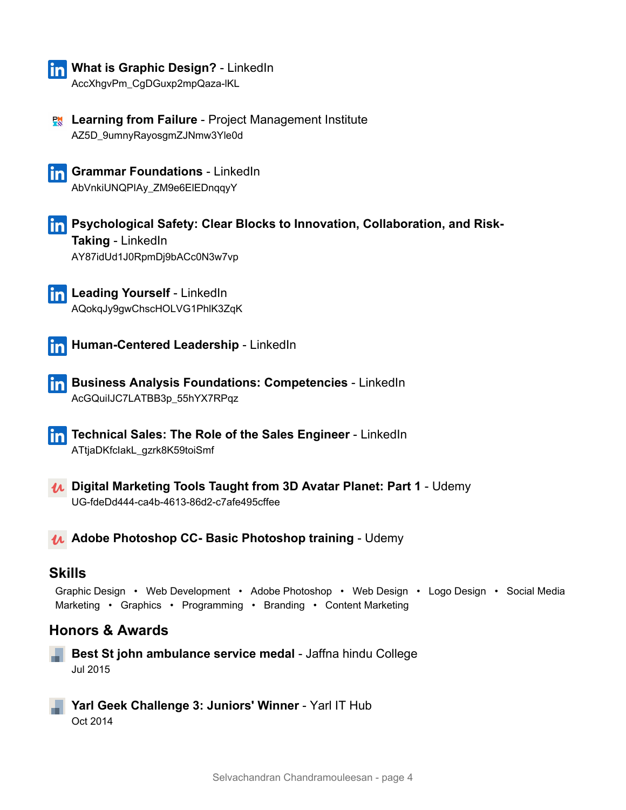

# **In What is Graphic Design?** - LinkedIn

AccXhgvPm\_CgDGuxp2mpQaza-lKL

**R** Learning from Failure - Project Management Institute AZ5D\_9umnyRayosgmZJNmw3Yle0d





**Psychological Safety: Clear Blocks to Innovation, Collaboration, and Risk-Taking** - LinkedIn AY87idUd1J0RpmDj9bACc0N3w7vp

**Leading Yourself** - LinkedIn AQokqJy9gwChscHOLVG1PhlK3ZqK



**Human-Centered Leadership** - LinkedIn

**Business Analysis Foundations: Competencies** - LinkedIn AcGQuiIJC7LATBB3p\_55hYX7RPqz

**Technical Sales: The Role of the Sales Engineer** - LinkedIn ATtjaDKfcIakL\_gzrk8K59toiSmf

**Digital Marketing Tools Taught from 3D Avatar Planet: Part 1** - Udemy UG-fdeDd444-ca4b-4613-86d2-c7afe495cffee

**Adobe Photoshop CC- Basic Photoshop training** - Udemy

#### **Skills**

Graphic Design • Web Development • Adobe Photoshop • Web Design • Logo Design • Social Media Marketing • Graphics • Programming • Branding • Content Marketing

#### **Honors & Awards**

**Best St john ambulance service medal** - Jaffna hindu College Jul 2015

**Yarl Geek Challenge 3: Juniors' Winner** - Yarl IT Hub Oct 2014